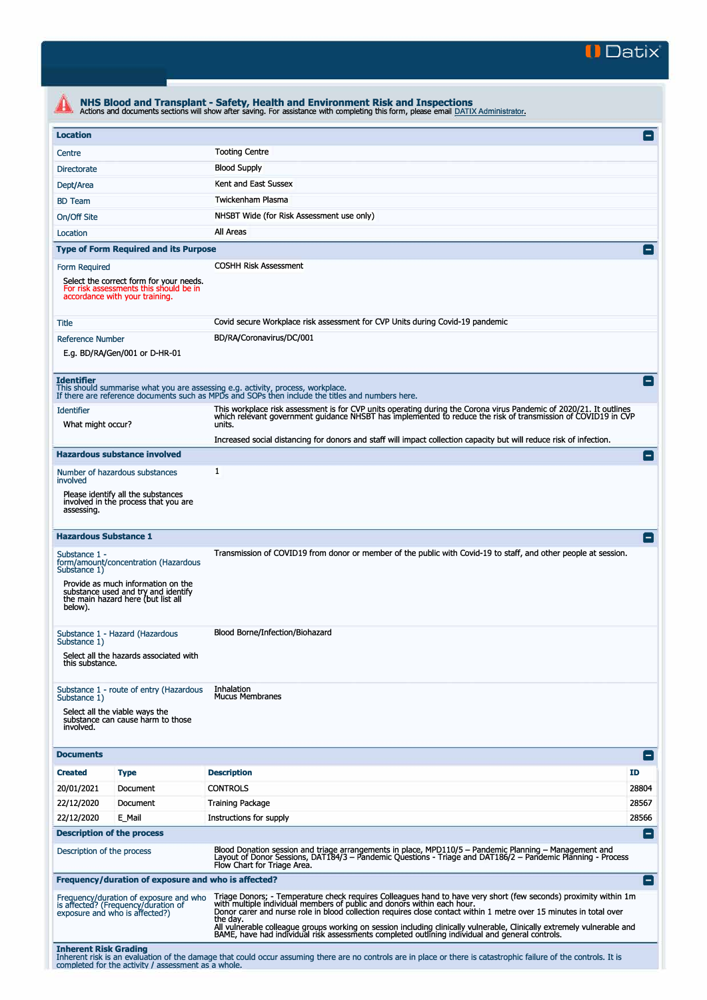

| <b>Location</b>                                                                                                                      |                                                                                                                 |                                                                                                                                                                                                                                                                                                                   | $\left  - \right $ |  |  |  |
|--------------------------------------------------------------------------------------------------------------------------------------|-----------------------------------------------------------------------------------------------------------------|-------------------------------------------------------------------------------------------------------------------------------------------------------------------------------------------------------------------------------------------------------------------------------------------------------------------|--------------------|--|--|--|
| Centre                                                                                                                               |                                                                                                                 | <b>Tooting Centre</b>                                                                                                                                                                                                                                                                                             |                    |  |  |  |
| <b>Directorate</b>                                                                                                                   |                                                                                                                 | <b>Blood Supply</b>                                                                                                                                                                                                                                                                                               |                    |  |  |  |
| Dept/Area                                                                                                                            |                                                                                                                 | Kent and East Sussex                                                                                                                                                                                                                                                                                              |                    |  |  |  |
| <b>BD</b> Team                                                                                                                       |                                                                                                                 | Twickenham Plasma                                                                                                                                                                                                                                                                                                 |                    |  |  |  |
| On/Off Site                                                                                                                          |                                                                                                                 | NHSBT Wide (for Risk Assessment use only)                                                                                                                                                                                                                                                                         |                    |  |  |  |
| Location                                                                                                                             |                                                                                                                 | All Areas                                                                                                                                                                                                                                                                                                         |                    |  |  |  |
|                                                                                                                                      | <b>Type of Form Required and its Purpose</b>                                                                    |                                                                                                                                                                                                                                                                                                                   | $\vert - \vert$    |  |  |  |
| Form Required<br>Select the correct form for your needs.<br>For risk assessments this should be in<br>accordance with your training. |                                                                                                                 | <b>COSHH Risk Assessment</b>                                                                                                                                                                                                                                                                                      |                    |  |  |  |
| Title                                                                                                                                |                                                                                                                 | Covid secure Workplace risk assessment for CVP Units during Covid-19 pandemic                                                                                                                                                                                                                                     |                    |  |  |  |
| <b>Reference Number</b>                                                                                                              | E.g. BD/RA/Gen/001 or D-HR-01                                                                                   | BD/RA/Coronavirus/DC/001                                                                                                                                                                                                                                                                                          |                    |  |  |  |
| <b>Identifier</b>                                                                                                                    |                                                                                                                 | This should summarise what you are assessing e.g. activity, process, workplace.<br>If there are reference documents such as MPDs and SOPs then include the titles and numbers here.                                                                                                                               | $\overline{ }$     |  |  |  |
| <b>Identifier</b><br>What might occur?                                                                                               |                                                                                                                 | This workplace risk assessment is for CVP units operating during the Corona virus Pandemic of 2020/21. It outlines<br>which relevant government guidance NHSBT has implemented to reduce the risk of transmission of COVID19 in CVP<br>units.                                                                     |                    |  |  |  |
|                                                                                                                                      |                                                                                                                 | Increased social distancing for donors and staff will impact collection capacity but will reduce risk of infection.                                                                                                                                                                                               |                    |  |  |  |
|                                                                                                                                      | <b>Hazardous substance involved</b>                                                                             |                                                                                                                                                                                                                                                                                                                   | -                  |  |  |  |
| involved                                                                                                                             | Number of hazardous substances                                                                                  | $\mathbf{1}$                                                                                                                                                                                                                                                                                                      |                    |  |  |  |
| assessing.                                                                                                                           | Please identify all the substances<br>involved in the process that you are                                      |                                                                                                                                                                                                                                                                                                                   |                    |  |  |  |
| <b>Hazardous Substance 1</b>                                                                                                         |                                                                                                                 |                                                                                                                                                                                                                                                                                                                   | н.                 |  |  |  |
| Substance 1 -<br>Substance 1)                                                                                                        | form/amount/concentration (Hazardous                                                                            | Transmission of COVID19 from donor or member of the public with Covid-19 to staff, and other people at session.                                                                                                                                                                                                   |                    |  |  |  |
| below).                                                                                                                              | Provide as much information on the<br>substance used and try and identify<br>the main hazard here (but list all |                                                                                                                                                                                                                                                                                                                   |                    |  |  |  |
|                                                                                                                                      | Substance 1 - Hazard (Hazardous                                                                                 | Blood Borne/Infection/Biohazard                                                                                                                                                                                                                                                                                   |                    |  |  |  |
| Substance 1)<br>this substance.                                                                                                      | Select all the hazards associated with                                                                          |                                                                                                                                                                                                                                                                                                                   |                    |  |  |  |
| Substance 1)                                                                                                                         | Substance 1 - route of entry (Hazardous                                                                         | Inhalation<br><b>Mucus Membranes</b>                                                                                                                                                                                                                                                                              |                    |  |  |  |
| involved.                                                                                                                            | Select all the viable ways the<br>substance can cause harm to those                                             |                                                                                                                                                                                                                                                                                                                   |                    |  |  |  |
| <b>Documents</b>                                                                                                                     |                                                                                                                 |                                                                                                                                                                                                                                                                                                                   | $\mathsf{I}$       |  |  |  |
| <b>Created</b>                                                                                                                       | <b>Type</b>                                                                                                     | <b>Description</b>                                                                                                                                                                                                                                                                                                | ID                 |  |  |  |
| 20/01/2021                                                                                                                           | Document                                                                                                        | <b>CONTROLS</b>                                                                                                                                                                                                                                                                                                   | 28804              |  |  |  |
| 22/12/2020                                                                                                                           | Document                                                                                                        | <b>Training Package</b>                                                                                                                                                                                                                                                                                           | 28567              |  |  |  |
| 22/12/2020                                                                                                                           | E_Mail                                                                                                          | Instructions for supply                                                                                                                                                                                                                                                                                           | 28566              |  |  |  |
|                                                                                                                                      | <b>Description of the process</b>                                                                               |                                                                                                                                                                                                                                                                                                                   | $\blacksquare$     |  |  |  |
| Description of the process                                                                                                           |                                                                                                                 | Blood Donation session and triage arrangements in place, MPD110/5 - Pandemic Planning - Management and<br>Layout of Donor Sessions, DAT184/3 - Pandemic Questions - Triage and DAT186/2 - Pandemic Planning - Process<br>Flow Chart for Triage Area.                                                              |                    |  |  |  |
|                                                                                                                                      | Frequency/duration of exposure and who is affected?                                                             |                                                                                                                                                                                                                                                                                                                   | $\blacksquare$     |  |  |  |
|                                                                                                                                      | Frequency/duration of exposure and who<br>is affected? (Frequency/duration of<br>exposure and who is affected?) | Triage Donors; - Temperature check requires Colleagues hand to have very short (few seconds) proximity within 1m<br>with multiple individual members of public and donors within each hour.<br>Donor carer and nurse role in blood collection requires close contact within 1 metre over 15 minutes in total over |                    |  |  |  |
|                                                                                                                                      |                                                                                                                 | the day.<br>All vulnerable colleague groups working on session including clinically vulnerable, Clinically extremely vulnerable and<br>BAME, have had individual risk assessments completed outlining individual and general controls.                                                                            |                    |  |  |  |